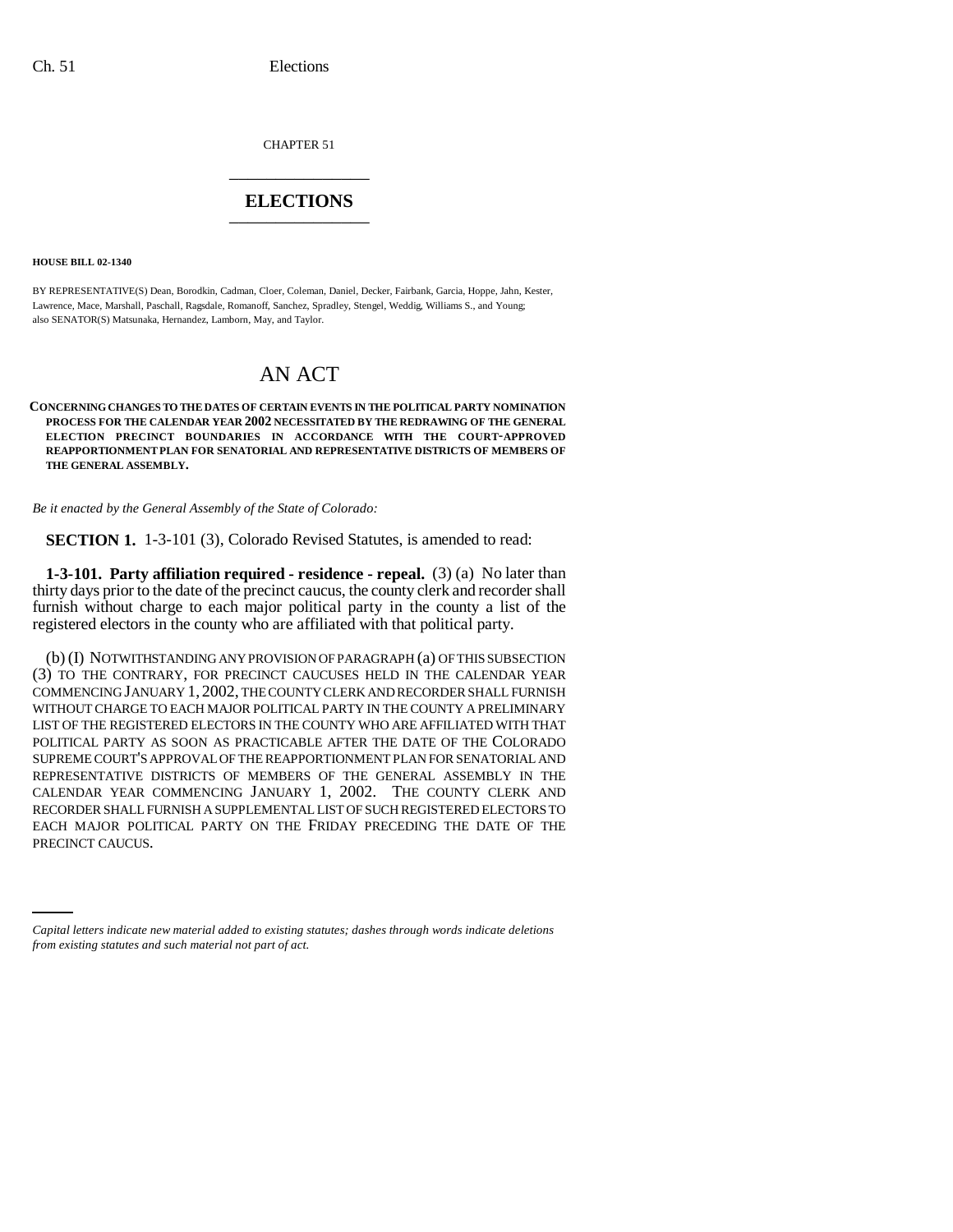CHAPTER 51 \_\_\_\_\_\_\_\_\_\_\_\_\_\_\_

## **ELECTIONS** \_\_\_\_\_\_\_\_\_\_\_\_\_\_\_

**HOUSE BILL 02-1340**

BY REPRESENTATIVE(S) Dean, Borodkin, Cadman, Cloer, Coleman, Daniel, Decker, Fairbank, Garcia, Hoppe, Jahn, Kester, Lawrence, Mace, Marshall, Paschall, Ragsdale, Romanoff, Sanchez, Spradley, Stengel, Weddig, Williams S., and Young; also SENATOR(S) Matsunaka, Hernandez, Lamborn, May, and Taylor.

# AN ACT

### **CONCERNING CHANGES TO THE DATES OF CERTAIN EVENTS IN THE POLITICAL PARTY NOMINATION PROCESS FOR THE CALENDAR YEAR 2002 NECESSITATED BY THE REDRAWING OF THE GENERAL ELECTION PRECINCT BOUNDARIES IN ACCORDANCE WITH THE COURT-APPROVED REAPPORTIONMENT PLAN FOR SENATORIAL AND REPRESENTATIVE DISTRICTS OF MEMBERS OF THE GENERAL ASSEMBLY.**

*Be it enacted by the General Assembly of the State of Colorado:*

**SECTION 1.** 1-3-101 (3), Colorado Revised Statutes, is amended to read:

**1-3-101. Party affiliation required - residence - repeal.** (3) (a) No later than thirty days prior to the date of the precinct caucus, the county clerk and recorder shall furnish without charge to each major political party in the county a list of the registered electors in the county who are affiliated with that political party.

EACH MAJOR POLITICAL PARTY ON THE FRIDAY PRECEDING THE DATE OF THE<br>PRECINCE OMICUS (b) (I) NOTWITHSTANDING ANY PROVISION OF PARAGRAPH (a) OF THIS SUBSECTION (3) TO THE CONTRARY, FOR PRECINCT CAUCUSES HELD IN THE CALENDAR YEAR COMMENCING JANUARY 1, 2002, THE COUNTY CLERK AND RECORDER SHALL FURNISH WITHOUT CHARGE TO EACH MAJOR POLITICAL PARTY IN THE COUNTY A PRELIMINARY LIST OF THE REGISTERED ELECTORS IN THE COUNTY WHO ARE AFFILIATED WITH THAT POLITICAL PARTY AS SOON AS PRACTICABLE AFTER THE DATE OF THE COLORADO SUPREME COURT'S APPROVAL OF THE REAPPORTIONMENT PLAN FOR SENATORIAL AND REPRESENTATIVE DISTRICTS OF MEMBERS OF THE GENERAL ASSEMBLY IN THE CALENDAR YEAR COMMENCING JANUARY 1, 2002. THE COUNTY CLERK AND RECORDER SHALL FURNISH A SUPPLEMENTAL LIST OF SUCH REGISTERED ELECTORS TO PRECINCT CAUCUS.

*Capital letters indicate new material added to existing statutes; dashes through words indicate deletions from existing statutes and such material not part of act.*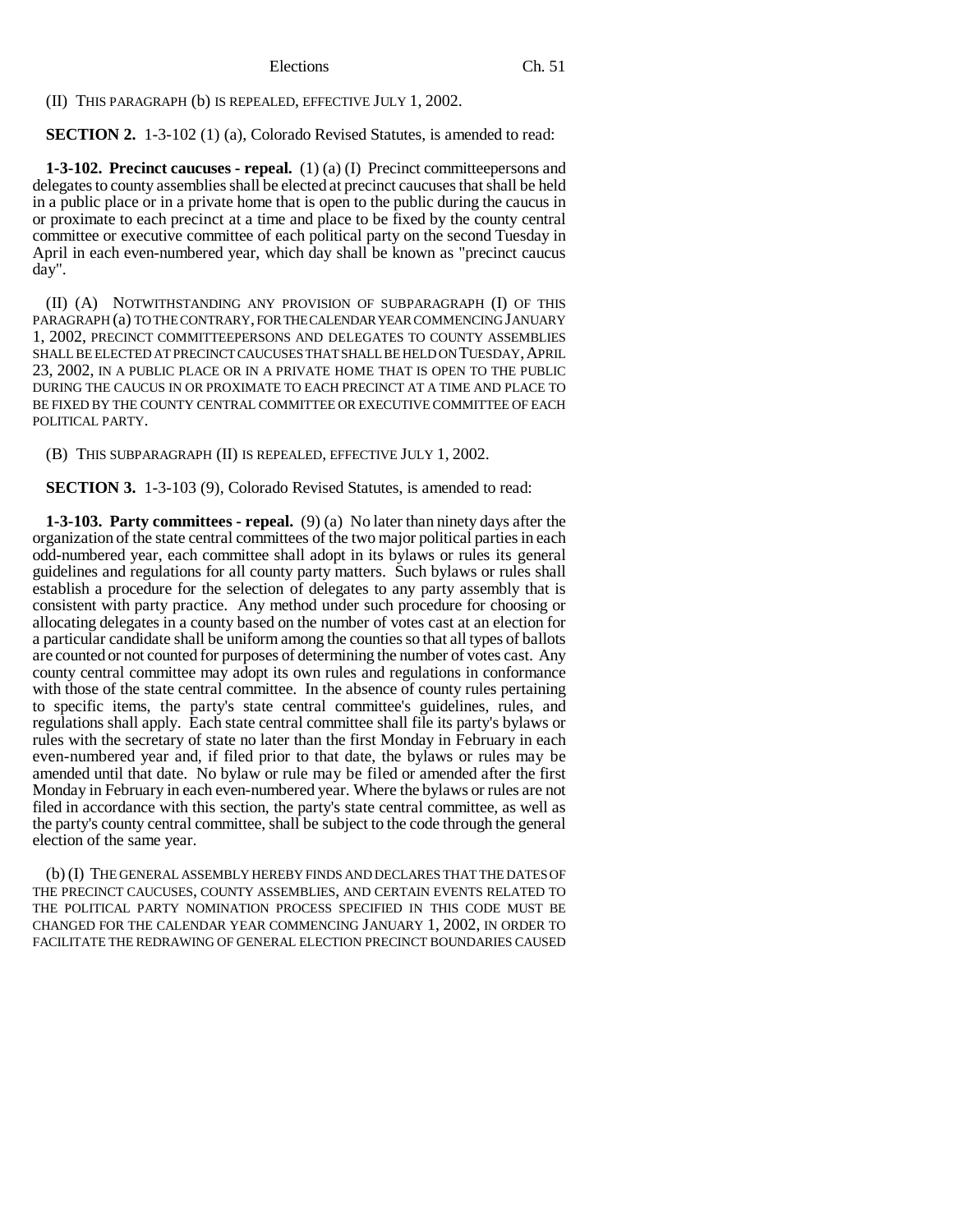(II) THIS PARAGRAPH (b) IS REPEALED, EFFECTIVE JULY 1, 2002.

**SECTION 2.** 1-3-102 (1) (a), Colorado Revised Statutes, is amended to read:

**1-3-102. Precinct caucuses - repeal.** (1) (a) (I) Precinct committeepersons and delegates to county assemblies shall be elected at precinct caucuses that shall be held in a public place or in a private home that is open to the public during the caucus in or proximate to each precinct at a time and place to be fixed by the county central committee or executive committee of each political party on the second Tuesday in April in each even-numbered year, which day shall be known as "precinct caucus day".

(II) (A) NOTWITHSTANDING ANY PROVISION OF SUBPARAGRAPH (I) OF THIS PARAGRAPH (a) TO THE CONTRARY, FOR THE CALENDAR YEAR COMMENCING JANUARY 1, 2002, PRECINCT COMMITTEEPERSONS AND DELEGATES TO COUNTY ASSEMBLIES SHALL BE ELECTED AT PRECINCT CAUCUSES THAT SHALL BE HELD ON TUESDAY, APRIL 23, 2002, IN A PUBLIC PLACE OR IN A PRIVATE HOME THAT IS OPEN TO THE PUBLIC DURING THE CAUCUS IN OR PROXIMATE TO EACH PRECINCT AT A TIME AND PLACE TO BE FIXED BY THE COUNTY CENTRAL COMMITTEE OR EXECUTIVE COMMITTEE OF EACH POLITICAL PARTY.

(B) THIS SUBPARAGRAPH (II) IS REPEALED, EFFECTIVE JULY 1, 2002.

**SECTION 3.** 1-3-103 (9), Colorado Revised Statutes, is amended to read:

**1-3-103. Party committees - repeal.** (9) (a) No later than ninety days after the organization of the state central committees of the two major political parties in each odd-numbered year, each committee shall adopt in its bylaws or rules its general guidelines and regulations for all county party matters. Such bylaws or rules shall establish a procedure for the selection of delegates to any party assembly that is consistent with party practice. Any method under such procedure for choosing or allocating delegates in a county based on the number of votes cast at an election for a particular candidate shall be uniform among the counties so that all types of ballots are counted or not counted for purposes of determining the number of votes cast. Any county central committee may adopt its own rules and regulations in conformance with those of the state central committee. In the absence of county rules pertaining to specific items, the party's state central committee's guidelines, rules, and regulations shall apply. Each state central committee shall file its party's bylaws or rules with the secretary of state no later than the first Monday in February in each even-numbered year and, if filed prior to that date, the bylaws or rules may be amended until that date. No bylaw or rule may be filed or amended after the first Monday in February in each even-numbered year. Where the bylaws or rules are not filed in accordance with this section, the party's state central committee, as well as the party's county central committee, shall be subject to the code through the general election of the same year.

(b) (I) THE GENERAL ASSEMBLY HEREBY FINDS AND DECLARES THAT THE DATES OF THE PRECINCT CAUCUSES, COUNTY ASSEMBLIES, AND CERTAIN EVENTS RELATED TO THE POLITICAL PARTY NOMINATION PROCESS SPECIFIED IN THIS CODE MUST BE CHANGED FOR THE CALENDAR YEAR COMMENCING JANUARY 1, 2002, IN ORDER TO FACILITATE THE REDRAWING OF GENERAL ELECTION PRECINCT BOUNDARIES CAUSED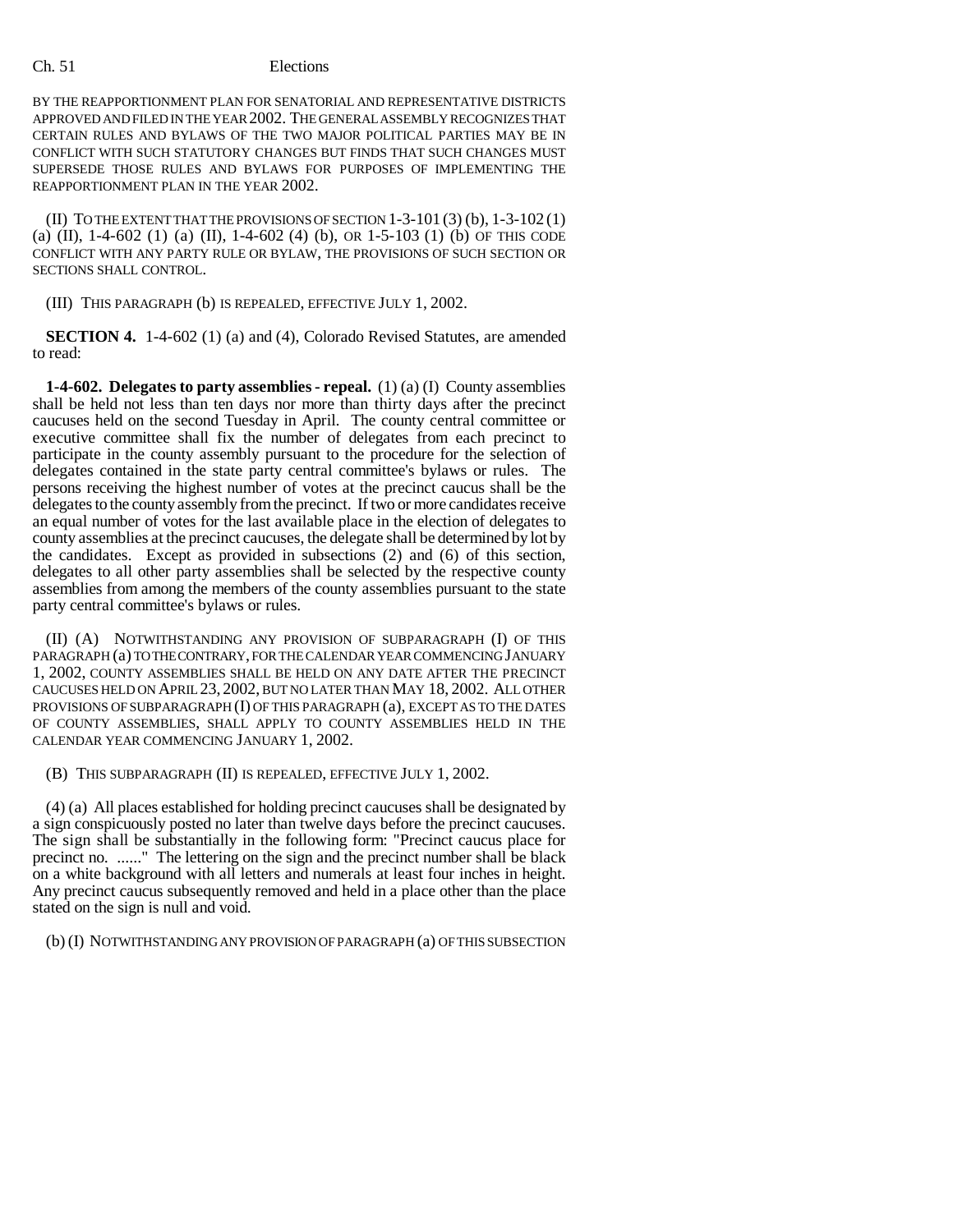### Ch. 51 Elections

BY THE REAPPORTIONMENT PLAN FOR SENATORIAL AND REPRESENTATIVE DISTRICTS APPROVED AND FILED IN THE YEAR 2002. THE GENERAL ASSEMBLY RECOGNIZES THAT CERTAIN RULES AND BYLAWS OF THE TWO MAJOR POLITICAL PARTIES MAY BE IN CONFLICT WITH SUCH STATUTORY CHANGES BUT FINDS THAT SUCH CHANGES MUST SUPERSEDE THOSE RULES AND BYLAWS FOR PURPOSES OF IMPLEMENTING THE REAPPORTIONMENT PLAN IN THE YEAR 2002.

(II) TO THE EXTENT THAT THE PROVISIONS OF SECTION 1-3-101 (3) (b), 1-3-102 (1) (a) (II), 1-4-602 (1) (a) (II), 1-4-602 (4) (b), OR 1-5-103 (1) (b) OF THIS CODE CONFLICT WITH ANY PARTY RULE OR BYLAW, THE PROVISIONS OF SUCH SECTION OR SECTIONS SHALL CONTROL.

(III) THIS PARAGRAPH (b) IS REPEALED, EFFECTIVE JULY 1, 2002.

**SECTION 4.** 1-4-602 (1) (a) and (4), Colorado Revised Statutes, are amended to read:

**1-4-602. Delegates to party assemblies - repeal.** (1) (a) (I) County assemblies shall be held not less than ten days nor more than thirty days after the precinct caucuses held on the second Tuesday in April. The county central committee or executive committee shall fix the number of delegates from each precinct to participate in the county assembly pursuant to the procedure for the selection of delegates contained in the state party central committee's bylaws or rules. The persons receiving the highest number of votes at the precinct caucus shall be the delegates to the county assembly from the precinct. If two or more candidates receive an equal number of votes for the last available place in the election of delegates to county assemblies at the precinct caucuses, the delegate shall be determined by lot by the candidates. Except as provided in subsections (2) and (6) of this section, delegates to all other party assemblies shall be selected by the respective county assemblies from among the members of the county assemblies pursuant to the state party central committee's bylaws or rules.

(II) (A) NOTWITHSTANDING ANY PROVISION OF SUBPARAGRAPH (I) OF THIS PARAGRAPH (a) TO THE CONTRARY, FOR THE CALENDAR YEAR COMMENCING JANUARY 1, 2002, COUNTY ASSEMBLIES SHALL BE HELD ON ANY DATE AFTER THE PRECINCT CAUCUSES HELD ON APRIL 23, 2002, BUT NO LATER THAN MAY 18, 2002. ALL OTHER PROVISIONS OF SUBPARAGRAPH (I) OF THIS PARAGRAPH (a), EXCEPT AS TO THE DATES OF COUNTY ASSEMBLIES, SHALL APPLY TO COUNTY ASSEMBLIES HELD IN THE CALENDAR YEAR COMMENCING JANUARY 1, 2002.

(B) THIS SUBPARAGRAPH (II) IS REPEALED, EFFECTIVE JULY 1, 2002.

(4) (a) All places established for holding precinct caucuses shall be designated by a sign conspicuously posted no later than twelve days before the precinct caucuses. The sign shall be substantially in the following form: "Precinct caucus place for precinct no. ......" The lettering on the sign and the precinct number shall be black on a white background with all letters and numerals at least four inches in height. Any precinct caucus subsequently removed and held in a place other than the place stated on the sign is null and void.

(b) (I) NOTWITHSTANDING ANY PROVISION OF PARAGRAPH (a) OF THIS SUBSECTION